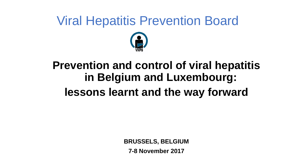# Viral Hepatitis Prevention Board



#### **Prevention and control of viral hepatitis in Belgium and Luxembourg: lessons learnt and the way forward**

**BRUSSELS, BELGIUM**

**7-8 November 2017**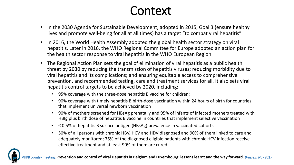#### Context

- In the 2030 Agenda for Sustainable Development, adopted in 2015, Goal 3 (ensure healthy lives and promote well-being for all at all times) has a target "to combat viral hepatitis"
- In 2016, the World Health Assembly adopted the global health sector strategy on viral hepatitis. Later in 2016, the WHO Regional Committee for Europe adopted an action plan for the health sector response to viral hepatitis in the WHO European Region
- The Regional Action Plan sets the goal of elimination of viral hepatitis as a public health threat by 2030 by reducing the transmission of hepatitis viruses; reducing morbidity due to viral hepatitis and its complications; and ensuring equitable access to comprehensive prevention, and recommended testing, care and treatment services for all. It also sets viral hepatitis control targets to be achieved by 2020, including:
	- 95% coverage with the three-dose hepatitis B vaccine for children;
	- 90% coverage with timely hepatitis B birth-dose vaccination within 24 hours of birth for countries that implement universal newborn vaccination
	- 90% of mothers screened for HBsAg prenatally and 95% of infants of infected mothers treated with HBIg plus birth dose of hepatitis B vaccine in countries that implement selective vaccination
	- ≤ 0.5% of hepatitis B surface antigen (HBsAg) prevalence in vaccinated cohorts
	- 50% of all persons with chronic HBV, HCV and HDV diagnosed and 90% of them linked to care and adequately monitored; 75% of the diagnosed eligible patients with chronic HCV infection receive effective treatment and at least 90% of them are cured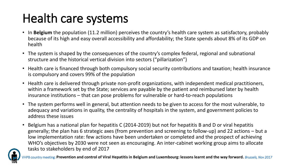# Health care systems

- In **Belgium** the population (11.2 million) perceives the country's health care system as satisfactory, probably because of its high and easy overall accessibility and affordability; the State spends about 8% of its GDP on health
- The system is shaped by the consequences of the country's complex federal, regional and subnational structure and the historical vertical division into sectors ("pillarization")
- Health care is financed through both compulsory social security contributions and taxation; health insurance is compulsory and covers 99% of the population
- Health care is delivered through private non-profit organizations, with independent medical practitioners, within a framework set by the State; services are payable by the patient and reimbursed later by health insurance institutions – that can pose problems for vulnerable or hard-to-reach populations
- The system performs well in general, but attention needs to be given to access for the most vulnerable, to adequacy and variations in quality, the centrality of hospitals in the system, and government policies to address these issues
- Belgium has a national plan for hepatitis C (2014-2019) but not for hepatitis B and D or viral hepatitis generally; the plan has 6 strategic axes (from prevention and screening to follow-up) and 22 actions – but a low implementation rate: few actions have been undertaken or completed and the prospect of achieving WHO's objectives by 2030 were not seen as encouraging. An inter-cabinet working group aims to allocate tasks to stakeholders by end of 2017

country meeting: **Prevention and control of Viral Hepatitis in Belgium and Luxembourg: lessons learnt and the way forward.** *Brussels, Nov 2017*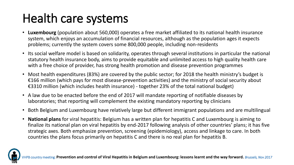# Health care systems

- **Luxembourg** (population about 560,000) operates a free market affiliated to its national health insurance system, which enjoys an accumulation of financial resources, although as the population ages it expects problems; currently the system covers some 800,000 people, including non-residents
- Its social welfare model is based on solidarity, operates through several institutions in particular the national statutory health insurance body, aims to provide equitable and unlimited access to high quality health care with a free choice of provider, has strong health promotion and disease prevention programmes
- Most health expenditures (83%) are covered by the public sector; for 2018 the health ministry's budget is €166 million (which pays for most disease-prevention activities) and the ministry of social security about €3310 million (which includes health insurance) - together 23% of the total national budget)
- A law due to be enacted before the end of 2017 will mandate reporting of notifiable diseases by laboratories; that reporting will complement the existing mandatory reporting by clinicians
- Both Belgium and Luxembourg have relatively large but different immigrant populations and are multilingual
- **National plans** for viral hepatitis: Belgium has a written plan for hepatitis C and Luxembourg is aiming to finalize its national plan on viral hepatitis by end-2017 following analysis of other countries' plans; it has five strategic axes. Both emphasize prevention, screening (epidemiology), access and linkage to care. In both countries the plans focus primarily on hepatitis C and there is no real plan for hepatitis B.

eeting: Prevention and control of Viral Hepatitis in Belgium and Luxembourg: lessons learnt and the way forward. *Brussels, Nov 2017*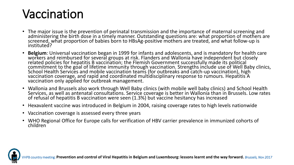### Vaccination

- The major issue is the prevention of perinatal transmission and the importance of maternal screening and administering the birth dose in a timely manner. Outstanding questions are: what proportion of mothers are screened, what proportion of babies born to HBsAg-positive mothers are treated, and what follow-up is instituted?
- **Belgium**: Universal vaccination began in 1999 for infants and adolescents, and is mandatory for health care workers and reimbursed for several groups at risk. Flanders and Wallonia have independent but closely related policies for hepatitis B vaccination; the Flemish Government successfully made its political commitment to the goal of lifetime immunity through vaccination. Strengths include use of Well Baby clinics, School Health Services and mobile vaccination teams (for outbreaks and catch-up vaccination), high vaccination coverage, and rapid and coordinated multidisciplinary response to rumours. Hepatitis A vaccination only applied for outbreak management.
- Wallonia and Brussels also work through Well Baby clinics (with mobile well baby clinics) and School Health Services, as well as antenatal consultations. Service coverage is better in Wallonia than in Brussels. Low rates of refusal of hepatitis B vaccination were seen (1.3%) but vaccine hesitancy has increased
- Hexavalent vaccine was introduced in Belgium in 2004, raising coverage rates to high levels nationwide
- Vaccination coverage is assessed every three years
- WHO Regional Office for Europe calls for verification of HBV carrier prevalence in immunized cohorts of children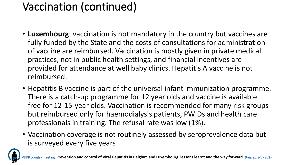#### Vaccination (continued)

- **Luxembourg**: vaccination is not mandatory in the country but vaccines are fully funded by the State and the costs of consultations for administration of vaccine are reimbursed. Vaccination is mostly given in private medical practices, not in public health settings, and financial incentives are provided for attendance at well baby clinics. Hepatitis A vaccine is not reimbursed.
- Hepatitis B vaccine is part of the universal infant immunization programme. There is a catch-up programme for 12 year olds and vaccine is available free for 12-15-year olds. Vaccination is recommended for many risk groups but reimbursed only for haemodialysis patients, PWIDs and health care professionals in training. The refusal rate was low (1%).
- Vaccination coverage is not routinely assessed by seroprevalence data but is surveyed every five years

**Eing: Prevention and control of Viral Hepatitis in Belgium and Luxembourg: lessons learnt and the way forward.** *Brussels, Nov 2017*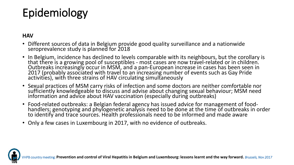#### Epidemiology

#### **HAV**

- Different sources of data in Belgium provide good quality surveillance and a nationwide seroprevalence study is planned for 2018
- In Belgium, incidence has declined to levels comparable with its neighbours, but the corollary is that there is a growing pool of susceptibles - most cases are now travel-related or in children. Outbreaks increasingly occur in MSM, and a pan-European increase in cases has been seen in 2017 (probably associated with travel to an increasing number of events such as Gay Pride activities), with three strains of HAV circulating simultaneously
- Sexual practices of MSM carry risks of infection and some doctors are neither comfortable nor sufficiently knowledgeable to discuss and advise about changing sexual behaviour; MSM need information and advice about HAV vaccination (especially during outbreaks)
- Food-related outbreaks: a Belgian federal agency has issued advice for management of foodhandlers; genotyping and phylogenetic analysis need to be done at the time of outbreaks in order to identify and trace sources. Health professionals need to be informed and made aware
- Only a few cases in Luxembourg in 2017, with no evidence of outbreaks.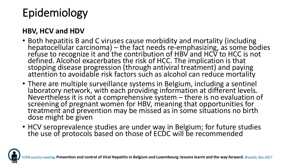# Epidemiology

#### **HBV, HCV and HDV**

- Both hepatitis B and C viruses cause morbidity and mortality (including hepatocellular carcinoma) – the fact needs re-emphasizing, as some bodies refuse to recognize it and the contribution of HBV and HCV to HCC is not defined. Alcohol exacerbates the risk of HCC. The implication is that stopping disease progression (through antiviral treatment) and paying attention to avoidable risk factors such as alcohol can reduce mortality
- There are multiple surveillance systems in Belgium, including a sentinel laboratory network, with each providing information at different levels. Nevertheless it is not a comprehensive system  $-$  there is no evaluation of screening of pregnant women for HBV, meaning that opportunities for treatment and prevention may be missed as in some situations no birth dose might be given
- HCV seroprevalence studies are under way in Belgium; for future studies the use of protocols based on those of ECDC will be recommended

eeting: Prevention and control of Viral Hepatitis in Belgium and Luxembourg: lessons learnt and the way forward. *Brussels, Nov 2017*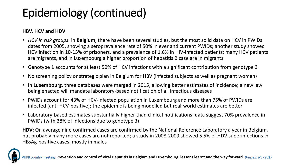### Epidemiology (continued)

#### **HBV, HCV and HDV**

- *HCV in risk groups*: in **Belgium**, there have been several studies, but the most solid data on HCV in PWIDs dates from 2005, showing a seroprevalence rate of 50% in ever and current PWIDs; another study showed HCV infection in 10-15% of prisoners, and a prevalence of 1.6% in HIV-infected patients; many HCV patients are migrants, and in Luxembourg a higher proportion of hepatitis B case are in migrants
- Genotype 1 accounts for at least 50% of HCV infections with a significant contribution from genotype 3
- No screening policy or strategic plan in Belgium for HBV (infected subjects as well as pregnant women)
- In **Luxembourg**, three databases were merged in 2015, allowing better estimates of incidence; a new law being enacted will mandate laboratory-based notification of all infectious diseases
- PWIDs account for 43% of HCV-infected population in Luxembourg and more than 75% of PWIDs are infected (anti-HCV-positive); the epidemic is being modelled but real-world estimates are better
- Laboratory-based estimates substantially higher than clinical notifications; data suggest 70% prevalence in PWIDs (with 38% of infections due to genotype 3)

**HDV:** On average nine confirmed cases are confirmed by the National Reference Laboratory a year in Belgium, but probably many more cases are not reported; a study in 2008-2009 showed 5.5% of HDV superinfections in HBsAg-positive cases, mostly in males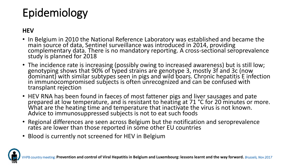# Epidemiology

#### **HEV**

- In Belgium in 2010 the National Reference Laboratory was established and became the main source of data, Sentinel surveillance was introduced in 2014, providing complementary data. There is no mandatory reporting. A cross-sectional seroprevalence study is planned for 2018
- The incidence rate is increasing (possibly owing to increased awareness) but is still low; genotyping shows that 90% of typed strains are genotype 3, mostly 3f and 3c (now dominant) with similar subtypes seen in pigs and wild boars. Chronic hepatitis E infection in immunocompromised subjects is often unrecognized and can be confused with transplant rejection
- HEV RNA has been found in faeces of most fattener pigs and liver sausages and pate prepared at low temperature, and is resistant to heating at 71 °C for 20 minutes or more. What are the heating time and temperature that inactivate the virus is not known. Advice to immunosuppressed subjects is not to eat such foods
- Regional differences are seen across Belgium but the notification and seroprevalence rates are lower than those reported in some other EU countries
- Blood is currently not screened for HEV in Belgium

**Eeting: Prevention and control of Viral Hepatitis in Belgium and Luxembourg: lessons learnt and the way forward.** *Brussels, Nov 2017*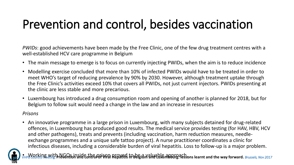# Prevention and control, besides vaccination

*PWIDs*: good achievements have been made by the Free Clinic, one of the few drug treatment centres with a well-established HCV care programme in Belgium

- The main message to emerge is to focus on currently injecting PWIDs, when the aim is to reduce incidence
- Modelling exercise concluded that more than 10% of infected PWIDs would have to be treated in order to meet WHO's target of reducing prevalence by 90% by 2030. However, although treatment uptake through the Free Clinic's activities exceed 10% that covers all PWIDs, not just current injectors. PWIDs presenting at the clinic are less stable and more precarious.
- Luxembourg has introduced a drug consumption room and opening of another is planned for 2018, but for Belgium to follow suit would need a change in the law and an increase in resources

#### *Prisons*

• An innovative programme in a large prison in Luxembourg, with many subjects detained for drug-related offences, in Luxembourg has produced good results. The medical service provides testing (for HAV, HBV, HCV and other pathogens), treats and prevents (including vaccination, harm reduction measures, needleexchange programmes and a unique safe tattoo project). A nurse practitioner coordinates a clinic for infectious diseases, including a considerable burden of viral hepatitis. Loss to follow-up is a major problem.

• Working with NGOs inside the prison proved to be id Naluable approach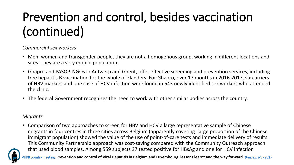# Prevention and control, besides vaccination (continued)

#### *Commercial sex workers*

- Men, women and transgender people, they are not a homogenous group, working in different locations and sites. They are a very mobile population.
- Ghapro and PASOP, NGOs in Antwerp and Ghent, offer effective screening and prevention services, including free hepatitis B vaccination for the whole of Flanders. For Ghapro, over 17 months in 2016-2017, six carriers of HBV markers and one case of HCV infection were found in 643 newly identified sex workers who attended the clinic.
- The federal Government recognizes the need to work with other similar bodies across the country.

#### *Migrants*

• Comparison of two approaches to screen for HBV and HCV a large representative sample of Chinese migrants in four centres in three cities across Belgium (apparently covering large proportion of the Chinese immigrant population) showed the value of the use of point-of-care tests and immediate delivery of results. This Community Partnership approach was cost-saving compared with the Community Outreach approach that used blood samples. Among 559 subjects 37 tested positive for HBsAg and one for HCV infection

country meeting: P<mark>revention and control of Viral Hepatitis in Belgium and Luxembourg: lessons learnt and the way forward. *Brussels, Nov 2017*</mark>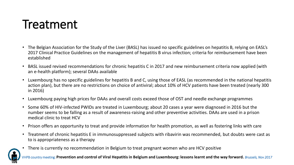#### Treatment

- The Belgian Association for the Study of the Liver (BASL) has issued no specific guidelines on hepatitis B, relying on EASL's 2017 Clinical Practice Guidelines on the management of hepatitis B virus infection; criteria for reimbursement have been established
- BASL issued revised recommendations for chronic hepatitis C in 2017 and new reimbursement criteria now applied (with an e-health platform); several DAAs available
- Luxembourg has no specific guidelines for hepatitis B and C, using those of EASL (as recommended in the national hepatitis action plan), but there are no restrictions on choice of antiviral; about 10% of HCV patients have been treated (nearly 300 in 2016)
- Luxembourg paying high prices for DAAs and overall costs exceed those of OST and needle exchange programmes
- Some 60% of HIV-infected PWIDs are treated in Luxembourg; about 20 cases a year were diagnosed in 2016 but the number seems to be falling as a result of awareness-raising and other preventive activities. DAAs are used in a prison medical clinic to treat HCV
- Prison offers an opportunity to treat and provide information for health promotion, as well as fostering links with care
- Treatment of chronic hepatitis E in immunosuppressed subjects with ribavirin was recommended, but doubts were cast as to is appropriateness as a therapy
- There is currently no recommendation in Belgium to treat pregnant women who are HCV positive

PB country meeting: Prevention and control of Viral Hepatitis in Belgium and Luxembourg: lessons learnt and the way forward. *Brussels, Nov 2017*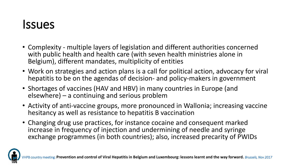#### Issues

- Complexity multiple layers of legislation and different authorities concerned with public health and health care (with seven health ministries alone in Belgium), different mandates, multiplicity of entities
- Work on strategies and action plans is a call for political action, advocacy for viral hepatitis to be on the agendas of decision- and policy-makers in government
- Shortages of vaccines (HAV and HBV) in many countries in Europe (and elsewhere) – a continuing and serious problem
- Activity of anti-vaccine groups, more pronounced in Wallonia; increasing vaccine hesitancy as well as resistance to hepatitis B vaccination
- Changing drug use practices, for instance cocaine and consequent marked increase in frequency of injection and undermining of needle and syringe exchange programmes (in both countries); also, increased precarity of PWIDs

and control of Viral Hepatitis in Belgium and Luxembourg: lessons learnt and the way forward. *Brussels, Nov 2017*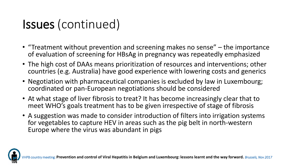# Issues (continued)

- "Treatment without prevention and screening makes no sense" the importance of evaluation of screening for HBsAg in pregnancy was repeatedly emphasized
- The high cost of DAAs means prioritization of resources and interventions; other countries (e.g. Australia) have good experience with lowering costs and generics
- Negotiation with pharmaceutical companies is excluded by law in Luxembourg; coordinated or pan-European negotiations should be considered
- At what stage of liver fibrosis to treat? It has become increasingly clear that to meet WHO's goals treatment has to be given irrespective of stage of fibrosis
- A suggestion was made to consider introduction of filters into irrigation systems for vegetables to capture HEV in areas such as the pig belt in north-western Europe where the virus was abundant in pigs

**Prevention and control of Viral Hepatitis in Belgium and Luxembourg: lessons learnt and the way forward.** *Brussels, Nov 2017*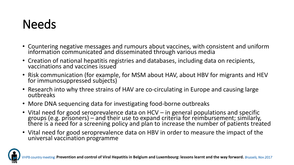# **Needs**

- Countering negative messages and rumours about vaccines, with consistent and uniform information communicated and disseminated through various media
- Creation of national hepatitis registries and databases, including data on recipients, vaccinations and vaccines issued
- Risk communication (for example, for MSM about HAV, about HBV for migrants and HEV for immunosuppressed subjects)
- Research into why three strains of HAV are co-circulating in Europe and causing large outbreaks
- More DNA sequencing data for investigating food-borne outbreaks
- Vital need for good seroprevalence data on HCV in general populations and specific groups (e.g. prisoners) – and their use to expand criteria for reimbursement; similarly, there is a need for a screening policy and plan to increase the number of patients treated
- Vital need for good seroprevalence data on HBV in order to measure the impact of the universal vaccination programme

Prevention and control of Viral Hepatitis in Belgium and Luxembourg: lessons learnt and the way forward. *Brussels, Nov 2017*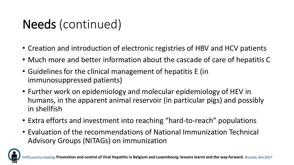# Needs (continued)

- Creation and introduction of electronic registries of HBV and HCV patients
- Much more and better information about the cascade of care of hepatitis C
- Guidelines for the clinical management of hepatitis E (in immunosuppressed patients)
- Further work on epidemiology and molecular epidemiology of HEV in humans, in the apparent animal reservoir (in particular pigs) and possibly in shellfish
- Extra efforts and investment into reaching "hard-to-reach" populations
- Evaluation of the recommendations of National Immunization Technical Advisory Groups (NITAGs) on immunization

and control of Viral Hepatitis in Belgium and Luxembourg: lessons learnt and the way forward. *Brussels, Nov 2017*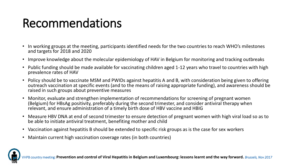# Recommendations

- In working groups at the meeting, participants identified needs for the two countries to reach WHO's milestones and targets for 2018 and 2020
- Improve knowledge about the molecular epidemiology of HAV in Belgium for monitoring and tracking outbreaks
- Public funding should be made available for vaccinating children aged 1-12 years who travel to countries with high prevalence rates of HAV
- Policy should be to vaccinate MSM and PWIDs against hepatitis A and B, with consideration being given to offering outreach vaccination at specific events (and to the means of raising appropriate funding), and awareness should be raised in such groups about preventive measures
- Monitor, evaluate and strengthen implementation of recommendations for screening of pregnant women (Belgium) for HBsAg positivity, preferably during the second trimester, and consider antiviral therapy when relevant, and ensure administration of a timely birth dose of HBV vaccine and HBIG
- Measure HBV DNA at end of second trimester to ensure detection of pregnant women with high viral load so as to be able to initiate antiviral treatment, benefiting mother and child
- Vaccination against hepatitis B should be extended to specific risk groups as is the case for sex workers
- Maintain current high vaccination coverage rates (in both countries)

V meeting: Prevention and control of Viral Hepatitis in Belgium and Luxembourg: lessons learnt and the way forward. *Brussels, Nov 2017*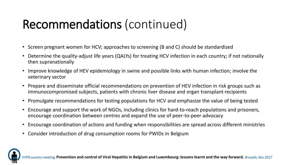#### Recommendations (continued)

- Screen pregnant women for HCV; approaches to screening (B and C) should be standardized
- Determine the quality-adjust life years (QALYs) for treating HCV infection in each country; if not nationally then supranationally
- Improve knowledge of HEV epidemiology in swine and possible links with human infection; involve the veterinary sector
- Prepare and disseminate official recommendations on prevention of HEV infection in risk groups such as immunocompromised subjects, patients with chronic liver disease and organ transplant recipients
- Promulgate recommendations for testing populations for HCV and emphasize the value of being tested
- Encourage and support the work of NGOs, including clinics for hard-to-reach populations and prisoners, encourage coordination between centres and expand the use of peer-to-peer advocacy
- Encourage coordination of actions and funding when responsibilities are spread across different ministries
- Consider introduction of drug consumption rooms for PWIDs in Belgium

**Prevention and control of Viral Hepatitis in Belgium and Luxembourg: lessons learnt and the way forward.** *Brussels, Nov 2017*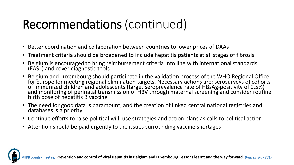### Recommendations (continued)

- Better coordination and collaboration between countries to lower prices of DAAs
- Treatment criteria should be broadened to include hepatitis patients at all stages of fibrosis
- Belgium is encouraged to bring reimbursement criteria into line with international standards (EASL) and cover diagnostic tools
- Belgium and Luxembourg should participate in the validation process of the WHO Regional Office for Europe for meeting regional elimination targets. Necessary actions are: serosurveys of cohorts of immunized children and adolescents (target seroprevalence rate of HBsAg-positivity of 0.5%) and monitoring of perinatal transmission of HBV through maternal screening and consider routine birth dose of hepatitis B vaccine
- The need for good data is paramount, and the creation of linked central national registries and databases is a priority
- Continue efforts to raise political will; use strategies and action plans as calls to political action
- Attention should be paid urgently to the issues surrounding vaccine shortages

Prevention and control of Viral Hepatitis in Belgium and Luxembourg: lessons learnt and the way forward. *Brussels, Nov 2017*